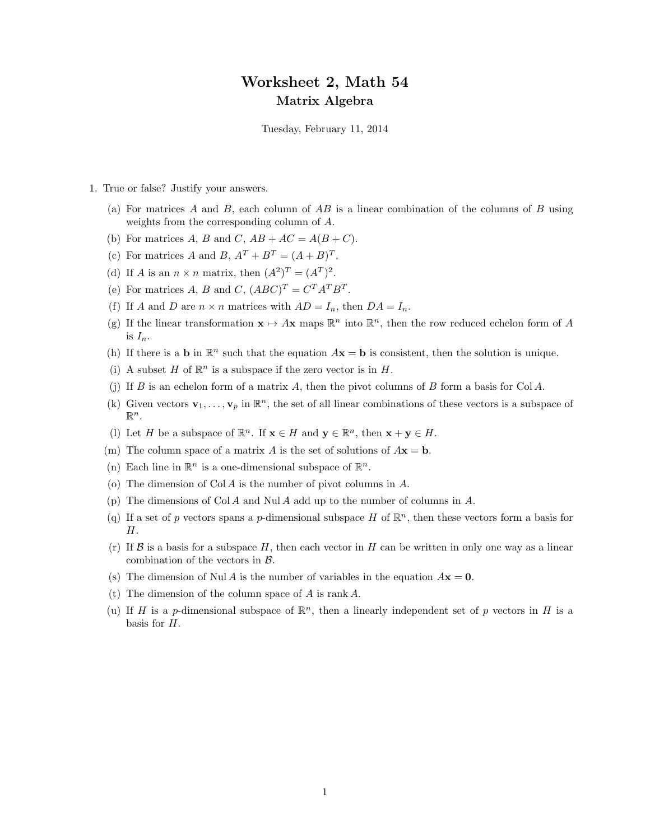## Worksheet 2, Math 54 Matrix Algebra

Tuesday, February 11, 2014

- 1. True or false? Justify your answers.
	- (a) For matrices A and B, each column of AB is a linear combination of the columns of B using weights from the corresponding column of A.
	- (b) For matrices A, B and C,  $AB + AC = A(B+C)$ .
	- (c) For matrices A and B,  $A^T + B^T = (A + B)^T$ .
	- (d) If A is an  $n \times n$  matrix, then  $(A^2)^T = (A^T)^2$ .
	- (e) For matrices A, B and C,  $(ABC)^T = C^T A^T B^T$ .
	- (f) If A and D are  $n \times n$  matrices with  $AD = I_n$ , then  $DA = I_n$ .
	- (g) If the linear transformation  $\mathbf{x} \mapsto A\mathbf{x}$  maps  $\mathbb{R}^n$  into  $\mathbb{R}^n$ , then the row reduced echelon form of A is  $I_n$ .
	- (h) If there is a **b** in  $\mathbb{R}^n$  such that the equation  $A\mathbf{x} = \mathbf{b}$  is consistent, then the solution is unique.
	- (i) A subset H of  $\mathbb{R}^n$  is a subspace if the zero vector is in H.
	- (j) If  $B$  is an echelon form of a matrix  $A$ , then the pivot columns of  $B$  form a basis for Col  $A$ .
	- (k) Given vectors  $\mathbf{v}_1, \ldots, \mathbf{v}_p$  in  $\mathbb{R}^n$ , the set of all linear combinations of these vectors is a subspace of  $\mathbb{R}^n$ .
	- (1) Let H be a subspace of  $\mathbb{R}^n$ . If  $\mathbf{x} \in H$  and  $\mathbf{y} \in \mathbb{R}^n$ , then  $\mathbf{x} + \mathbf{y} \in H$ .
	- (m) The column space of a matrix A is the set of solutions of  $A\mathbf{x} = \mathbf{b}$ .
	- (n) Each line in  $\mathbb{R}^n$  is a one-dimensional subspace of  $\mathbb{R}^n$ .
	- (o) The dimension of Col A is the number of pivot columns in A.
	- (p) The dimensions of Col A and Nul A add up to the number of columns in A.
	- (q) If a set of p vectors spans a p-dimensional subspace H of  $\mathbb{R}^n$ , then these vectors form a basis for H.
	- (r) If  $\beta$  is a basis for a subspace H, then each vector in H can be written in only one way as a linear combination of the vectors in  $\beta$ .
	- (s) The dimension of Nul A is the number of variables in the equation  $A\mathbf{x} = \mathbf{0}$ .
	- (t) The dimension of the column space of A is rank A.
	- (u) If H is a p-dimensional subspace of  $\mathbb{R}^n$ , then a linearly independent set of p vectors in H is a basis for H.